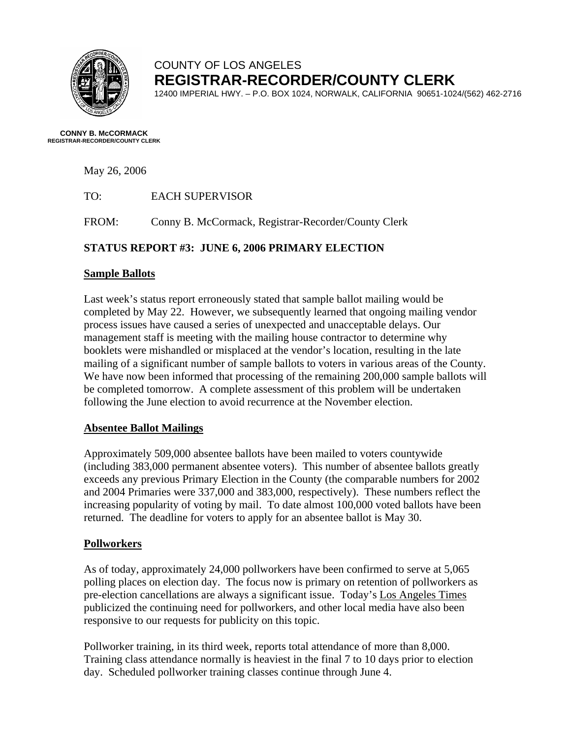

# COUNTY OF LOS ANGELES **REGISTRAR-RECORDER/COUNTY CLERK**

12400 IMPERIAL HWY. – P.O. BOX 1024, NORWALK, CALIFORNIA 90651-1024/(562) 462-2716

**CONNY B. McCORMACK REGISTRAR-RECORDER/COUNTY CLERK** 

May 26, 2006

| TO: | <b>EACH SUPERVISOR</b> |
|-----|------------------------|
|     |                        |

FROM: Conny B. McCormack, Registrar-Recorder/County Clerk

# **STATUS REPORT #3: JUNE 6, 2006 PRIMARY ELECTION**

#### **Sample Ballots**

Last week's status report erroneously stated that sample ballot mailing would be completed by May 22. However, we subsequently learned that ongoing mailing vendor process issues have caused a series of unexpected and unacceptable delays. Our management staff is meeting with the mailing house contractor to determine why booklets were mishandled or misplaced at the vendor's location, resulting in the late mailing of a significant number of sample ballots to voters in various areas of the County. We have now been informed that processing of the remaining 200,000 sample ballots will be completed tomorrow. A complete assessment of this problem will be undertaken following the June election to avoid recurrence at the November election.

### **Absentee Ballot Mailings**

Approximately 509,000 absentee ballots have been mailed to voters countywide (including 383,000 permanent absentee voters). This number of absentee ballots greatly exceeds any previous Primary Election in the County (the comparable numbers for 2002 and 2004 Primaries were 337,000 and 383,000, respectively). These numbers reflect the increasing popularity of voting by mail. To date almost 100,000 voted ballots have been returned. The deadline for voters to apply for an absentee ballot is May 30.

### **Pollworkers**

As of today, approximately 24,000 pollworkers have been confirmed to serve at 5,065 polling places on election day. The focus now is primary on retention of pollworkers as pre-election cancellations are always a significant issue. Today's Los Angeles Times publicized the continuing need for pollworkers, and other local media have also been responsive to our requests for publicity on this topic.

Pollworker training, in its third week, reports total attendance of more than 8,000. Training class attendance normally is heaviest in the final 7 to 10 days prior to election day. Scheduled pollworker training classes continue through June 4.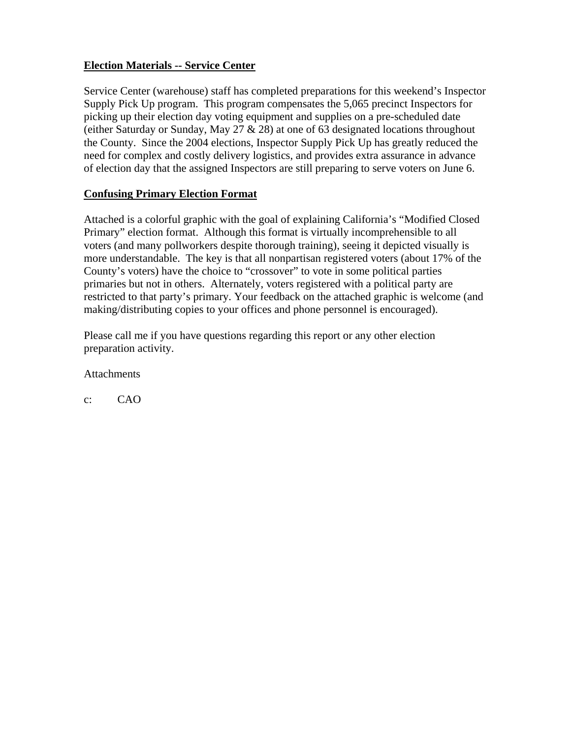# **Election Materials -- Service Center**

Service Center (warehouse) staff has completed preparations for this weekend's Inspector Supply Pick Up program. This program compensates the 5,065 precinct Inspectors for picking up their election day voting equipment and supplies on a pre-scheduled date (either Saturday or Sunday, May 27 & 28) at one of 63 designated locations throughout the County. Since the 2004 elections, Inspector Supply Pick Up has greatly reduced the need for complex and costly delivery logistics, and provides extra assurance in advance of election day that the assigned Inspectors are still preparing to serve voters on June 6.

### **Confusing Primary Election Format**

Attached is a colorful graphic with the goal of explaining California's "Modified Closed Primary" election format. Although this format is virtually incomprehensible to all voters (and many pollworkers despite thorough training), seeing it depicted visually is more understandable. The key is that all nonpartisan registered voters (about 17% of the County's voters) have the choice to "crossover" to vote in some political parties primaries but not in others. Alternately, voters registered with a political party are restricted to that party's primary. Your feedback on the attached graphic is welcome (and making/distributing copies to your offices and phone personnel is encouraged).

Please call me if you have questions regarding this report or any other election preparation activity.

**Attachments** 

c: CAO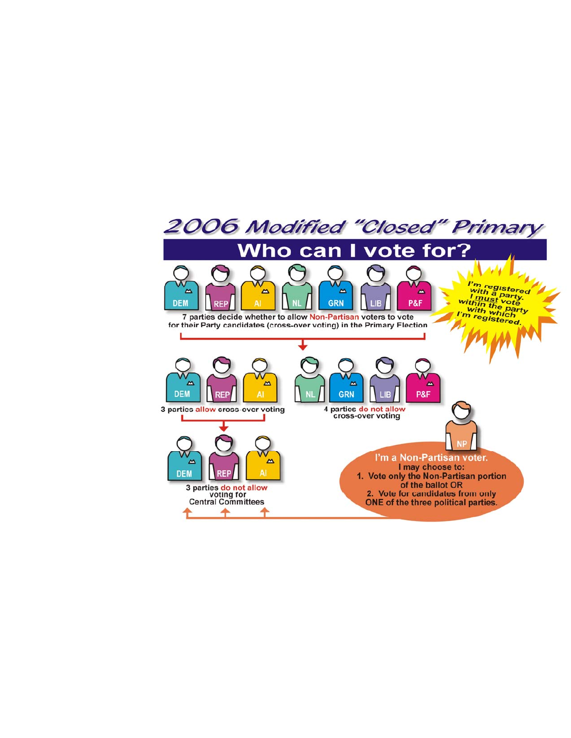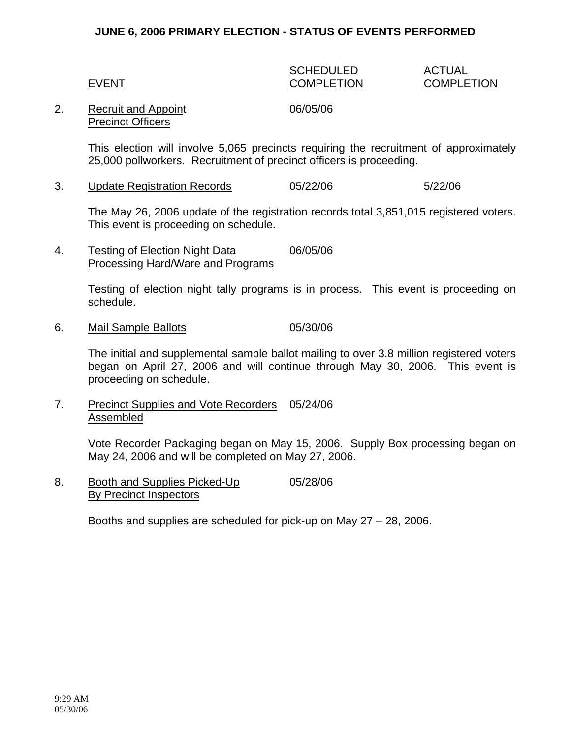#### **JUNE 6, 2006 PRIMARY ELECTION - STATUS OF EVENTS PERFORMED**

#### SCHEDULED ACTUAL EVENT COMPLETION COMPLETION

#### 2. Recruit and Appoint 06/05/06 Precinct Officers

This election will involve 5,065 precincts requiring the recruitment of approximately 25,000 pollworkers. Recruitment of precinct officers is proceeding.

3. Update Registration Records 05/22/06 5/22/06

The May 26, 2006 update of the registration records total 3,851,015 registered voters. This event is proceeding on schedule.

4. Testing of Election Night Data 06/05/06 Processing Hard/Ware and Programs

> Testing of election night tally programs is in process. This event is proceeding on schedule.

6. Mail Sample Ballots 05/30/06

The initial and supplemental sample ballot mailing to over 3.8 million registered voters began on April 27, 2006 and will continue through May 30, 2006. This event is proceeding on schedule.

7. Precinct Supplies and Vote Recorders 05/24/06 Assembled

> Vote Recorder Packaging began on May 15, 2006. Supply Box processing began on May 24, 2006 and will be completed on May 27, 2006.

8. Booth and Supplies Picked-Up 05/28/06 By Precinct Inspectors

Booths and supplies are scheduled for pick-up on May 27 – 28, 2006.